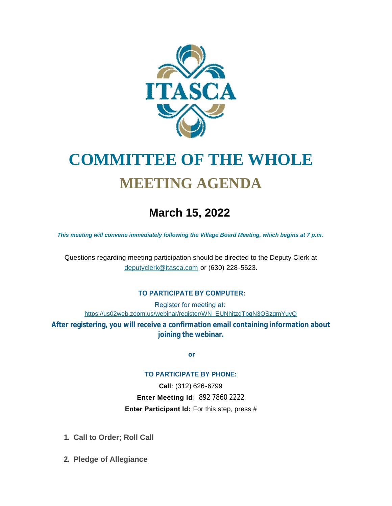

# **COMMITTEE OF THE WHOLE MEETING AGENDA**

# **March 15, 2022**

*This meeting will convene immediately following the Village Board Meeting, which begins at 7 p.m.*

[Questions regarding meeting participation sh](mailto:deputyclerk@itasca.com)ould be directed to the Deputy Clerk at deputyclerk@itasca.com or (630) 228-5623.

#### **TO PARTICIPATE BY COMPUTER:**

Register for meeting at: [https://us02web.zoom.us/webinar/register/WN\\_EUNhitzqTpqN3QSzgmYuyQ](https://us02web.zoom.us/webinar/register/WN_EUNhitzqTpqN3QSzgmYuyQ)

**After registering, you will receive a confirmation email containing information about joining the webinar.**

 **or**

#### **TO PARTICIPATE BY PHONE:**

**Call**: (312) 626-6799 **Enter Meeting Id**: 892 7860 2222 **Enter Participant Id:** For this step, press #

- **Call to Order; Roll Call 1.**
- **Pledge of Allegiance 2.**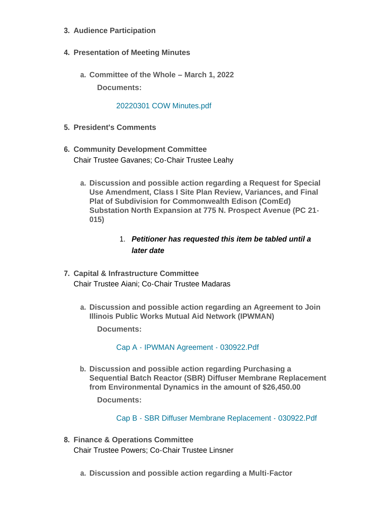- **Audience Participation 3.**
- **Presentation of Meeting Minutes 4.**
	- **Committee of the Whole – March 1, 2022 a. Documents:**

### [20220301 COW Minutes.pdf](http://www.itasca.com/AgendaCenter/ViewFile/Item/7496?fileID=9429)

- **President's Comments 5.**
- **Community Development Committee 6.** Chair Trustee Gavanes; Co-Chair Trustee Leahy
	- **Discussion and possible action regarding a Request for Special a. Use Amendment, Class I Site Plan Review, Variances, and Final Plat of Subdivision for Commonwealth Edison (ComEd) Substation North Expansion at 775 N. Prospect Avenue (PC 21- 015)**

# 1. *Petitioner has requested this item be tabled until a later date*

- **Capital & Infrastructure Committee 7.** Chair Trustee Aiani; Co-Chair Trustee Madaras
	- **Discussion and possible action regarding an Agreement to Join a. Illinois Public Works Mutual Aid Network (IPWMAN)**

**Documents:**

[Cap A - IPWMAN Agreement - 030922.Pdf](http://www.itasca.com/AgendaCenter/ViewFile/Item/7498?fileID=9430)

**Discussion and possible action regarding Purchasing a b. Sequential Batch Reactor (SBR) Diffuser Membrane Replacement from Environmental Dynamics in the amount of \$26,450.00**

**Documents:**

[Cap B - SBR Diffuser Membrane Replacement - 030922.Pdf](http://www.itasca.com/AgendaCenter/ViewFile/Item/7499?fileID=9431)

- **Finance & Operations Committee 8.** Chair Trustee Powers; Co-Chair Trustee Linsner
	- **Discussion and possible action regarding a Multi-Factor a.**